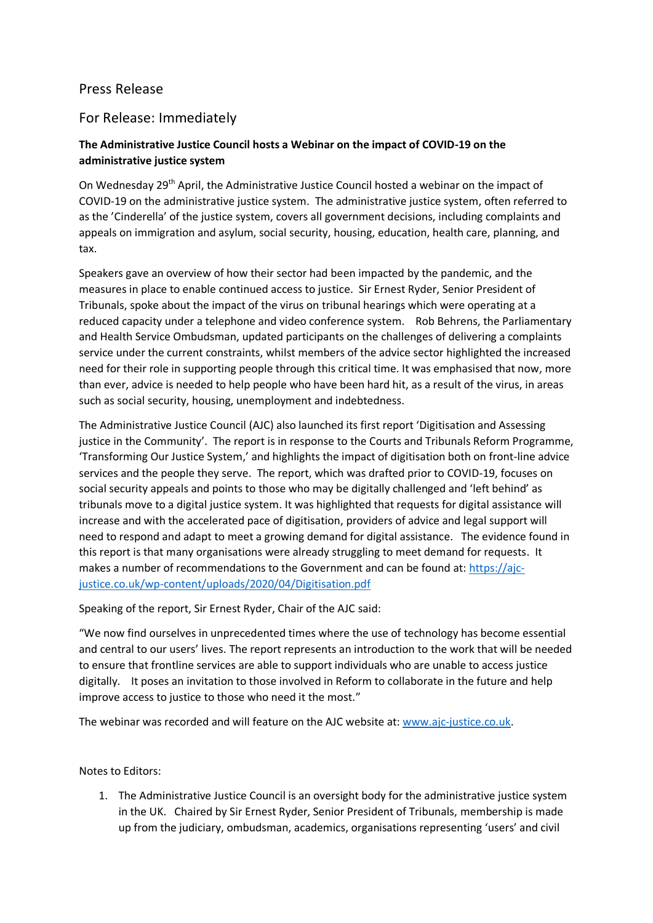## Press Release

## For Release: Immediately

## **The Administrative Justice Council hosts a Webinar on the impact of COVID-19 on the administrative justice system**

On Wednesday 29<sup>th</sup> April, the Administrative Justice Council hosted a webinar on the impact of COVID-19 on the administrative justice system. The administrative justice system, often referred to as the 'Cinderella' of the justice system, covers all government decisions, including complaints and appeals on immigration and asylum, social security, housing, education, health care, planning, and tax.

Speakers gave an overview of how their sector had been impacted by the pandemic, and the measures in place to enable continued access to justice. Sir Ernest Ryder, Senior President of Tribunals, spoke about the impact of the virus on tribunal hearings which were operating at a reduced capacity under a telephone and video conference system. Rob Behrens, the Parliamentary and Health Service Ombudsman, updated participants on the challenges of delivering a complaints service under the current constraints, whilst members of the advice sector highlighted the increased need for their role in supporting people through this critical time. It was emphasised that now, more than ever, advice is needed to help people who have been hard hit, as a result of the virus, in areas such as social security, housing, unemployment and indebtedness.

The Administrative Justice Council (AJC) also launched its first report 'Digitisation and Assessing justice in the Community'. The report is in response to the Courts and Tribunals Reform Programme, 'Transforming Our Justice System,' and highlights the impact of digitisation both on front-line advice services and the people they serve. The report, which was drafted prior to COVID-19, focuses on social security appeals and points to those who may be digitally challenged and 'left behind' as tribunals move to a digital justice system. It was highlighted that requests for digital assistance will increase and with the accelerated pace of digitisation, providers of advice and legal support will need to respond and adapt to meet a growing demand for digital assistance. The evidence found in this report is that many organisations were already struggling to meet demand for requests. It makes a number of recommendations to the Government and can be found at: [https://ajc](https://ajc-justice.co.uk/wp-content/uploads/2020/04/Digitisation.pdf)[justice.co.uk/wp-content/uploads/2020/04/Digitisation.pdf](https://ajc-justice.co.uk/wp-content/uploads/2020/04/Digitisation.pdf)

Speaking of the report, Sir Ernest Ryder, Chair of the AJC said:

"We now find ourselves in unprecedented times where the use of technology has become essential and central to our users' lives. The report represents an introduction to the work that will be needed to ensure that frontline services are able to support individuals who are unable to access justice digitally. It poses an invitation to those involved in Reform to collaborate in the future and help improve access to justice to those who need it the most."

The webinar was recorded and will feature on the AJC website at: [www.ajc-justice.co.uk.](http://www.ajc-justice.co.uk/)

## Notes to Editors:

1. The Administrative Justice Council is an oversight body for the administrative justice system in the UK. Chaired by Sir Ernest Ryder, Senior President of Tribunals, membership is made up from the judiciary, ombudsman, academics, organisations representing 'users' and civil